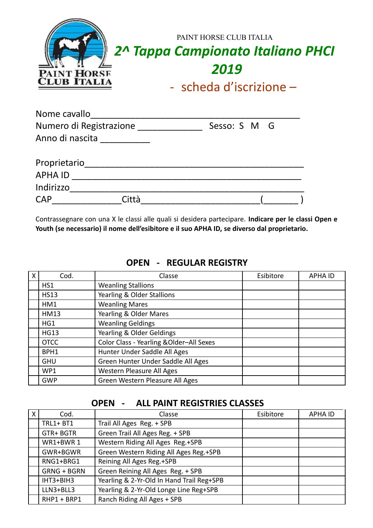| <b>PAINT HORSE</b><br><b>CLUB ITALIA</b> | PAINT HORSE CLUB ITALIA<br>2^ Tappa Campionato Italiano PHCI<br>2019<br>- scheda d'iscrizione $-$ |
|------------------------------------------|---------------------------------------------------------------------------------------------------|
|                                          |                                                                                                   |

| Nome cavallo            |       |              |  |
|-------------------------|-------|--------------|--|
| Numero di Registrazione |       | Sesso: S M G |  |
| Anno di nascita         |       |              |  |
| Proprietario            |       |              |  |
| <b>APHA ID</b>          |       |              |  |
| Indirizzo               |       |              |  |
| <b>CAP</b>              | Città |              |  |

Contrassegnare con una X le classi alle quali si desidera partecipare. **Indicare per le classi Open e Youth (se necessario) il nome dell'esibitore e il suo APHA ID, se diverso dal proprietario.**

| X | Cod.        | Classe                                   | Esibitore | <b>APHA ID</b> |
|---|-------------|------------------------------------------|-----------|----------------|
|   | HS1         | <b>Weanling Stallions</b>                |           |                |
|   | <b>HS13</b> | Yearling & Older Stallions               |           |                |
|   | HM1         | <b>Weanling Mares</b>                    |           |                |
|   | <b>HM13</b> | Yearling & Older Mares                   |           |                |
|   | HG1         | <b>Weanling Geldings</b>                 |           |                |
|   | <b>HG13</b> | Yearling & Older Geldings                |           |                |
|   | <b>OTCC</b> | Color Class - Yearling & Older-All Sexes |           |                |
|   | BPH1        | Hunter Under Saddle All Ages             |           |                |
|   | <b>GHU</b>  | Green Hunter Under Saddle All Ages       |           |                |
|   | WP1         | Western Pleasure All Ages                |           |                |
|   | <b>GWP</b>  | Green Western Pleasure All Ages          |           |                |

#### **OPEN - REGULAR REGISTRY**

### **OPEN - ALL PAINT REGISTRIES CLASSES**

| X | Cod.               | Classe                                    | Esibitore | <b>APHA ID</b> |
|---|--------------------|-------------------------------------------|-----------|----------------|
|   | $TRL1 + BT1$       | Trail All Ages Reg. + SPB                 |           |                |
|   | GTR+BGTR           | Green Trail All Ages Reg. + SPB           |           |                |
|   | WR1+BWR 1          | Western Riding All Ages Reg.+SPB          |           |                |
|   | GWR+BGWR           | Green Western Riding All Ages Reg.+SPB    |           |                |
|   | RNG1+BRG1          | Reining All Ages Reg.+SPB                 |           |                |
|   | <b>GRNG + BGRN</b> | Green Reining All Ages Reg. + SPB         |           |                |
|   | IHT3+BIH3          | Yearling & 2-Yr-Old In Hand Trail Reg+SPB |           |                |
|   | LLN3+BLL3          | Yearling & 2-Yr-Old Longe Line Reg+SPB    |           |                |
|   | RHP1 + BRP1        | Ranch Riding All Ages + SPB               |           |                |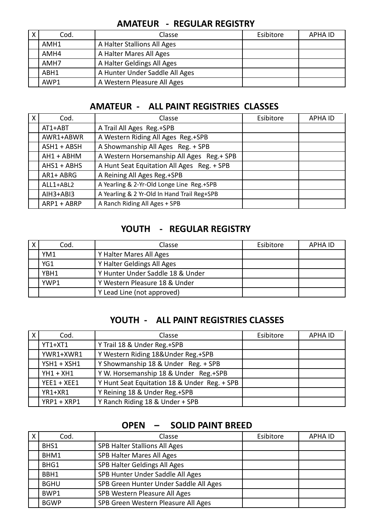| X | Cod. | Classe                         | Esibitore | APHA ID |
|---|------|--------------------------------|-----------|---------|
|   | AMH1 | A Halter Stallions All Ages    |           |         |
|   | AMH4 | A Halter Mares All Ages        |           |         |
|   | AMH7 | A Halter Geldings All Ages     |           |         |
|   | ABH1 | A Hunter Under Saddle All Ages |           |         |
|   | AWP1 | A Western Pleasure All Ages    |           |         |

## **AMATEUR - REGULAR REGISTRY**

### **AMATEUR - ALL PAINT REGISTRIES CLASSES**

| $\mathsf{X}$ | Cod.          | Classe                                      | Esibitore | <b>APHA ID</b> |
|--------------|---------------|---------------------------------------------|-----------|----------------|
|              | AT1+ABT       | A Trail All Ages Reg.+SPB                   |           |                |
|              | AWR1+ABWR     | A Western Riding All Ages Reg.+SPB          |           |                |
|              | $ASH1 + ABSH$ | A Showmanship All Ages Reg. + SPB           |           |                |
|              | AH1 + ABHM    | A Western Horsemanship All Ages Reg.+ SPB   |           |                |
|              | $AHS1 + ABHS$ | A Hunt Seat Equitation All Ages Reg. + SPB  |           |                |
|              | AR1+ ABRG     | A Reining All Ages Reg.+SPB                 |           |                |
|              | ALL1+ABL2     | A Yearling & 2-Yr-Old Longe Line Reg.+SPB   |           |                |
|              | $AIH3+ABI3$   | A Yearling & 2 Yr-Old In Hand Trail Reg+SPB |           |                |
|              | ARP1 + ABRP   | A Ranch Riding All Ages + SPB               |           |                |

# **YOUTH - REGULAR REGISTRY**

| Cod. | Classe                           | Esibitore | <b>APHA ID</b> |
|------|----------------------------------|-----------|----------------|
| YM1  | Y Halter Mares All Ages          |           |                |
| YG1  | Y Halter Geldings All Ages       |           |                |
| YBH1 | Y Hunter Under Saddle 18 & Under |           |                |
| YWP1 | Y Western Pleasure 18 & Under    |           |                |
|      | Y Lead Line (not approved)       |           |                |

## **YOUTH - ALL PAINT REGISTRIES CLASSES**

| X | Cod.          | Classe                                       | Esibitore | <b>APHA ID</b> |
|---|---------------|----------------------------------------------|-----------|----------------|
|   | YT1+XT1       | Y Trail 18 & Under Reg.+SPB                  |           |                |
|   | YWR1+XWR1     | Y Western Riding 18&Under Reg.+SPB           |           |                |
|   | $YSH1 + XSH1$ | Y Showmanship 18 & Under Reg. + SPB          |           |                |
|   | $YH1 + XH1$   | Y W. Horsemanship 18 & Under Reg.+SPB        |           |                |
|   | $YEE1 + XEE1$ | Y Hunt Seat Equitation 18 & Under Reg. + SPB |           |                |
|   | YR1+XR1       | Y Reining 18 & Under Reg.+SPB                |           |                |
|   | YRP1 + XRP1   | Y Ranch Riding 18 & Under + SPB              |           |                |

# **OPEN – SOLID PAINT BREED**

| Cod.        | Classe                                 | Esibitore | <b>APHA ID</b> |
|-------------|----------------------------------------|-----------|----------------|
| BHS1        | <b>SPB Halter Stallions All Ages</b>   |           |                |
| BHM1        | SPB Halter Mares All Ages              |           |                |
| BHG1        | SPB Halter Geldings All Ages           |           |                |
| BBH1        | SPB Hunter Under Saddle All Ages       |           |                |
| <b>BGHU</b> | SPB Green Hunter Under Saddle All Ages |           |                |
| BWP1        | SPB Western Pleasure All Ages          |           |                |
| <b>BGWP</b> | SPB Green Western Pleasure All Ages    |           |                |